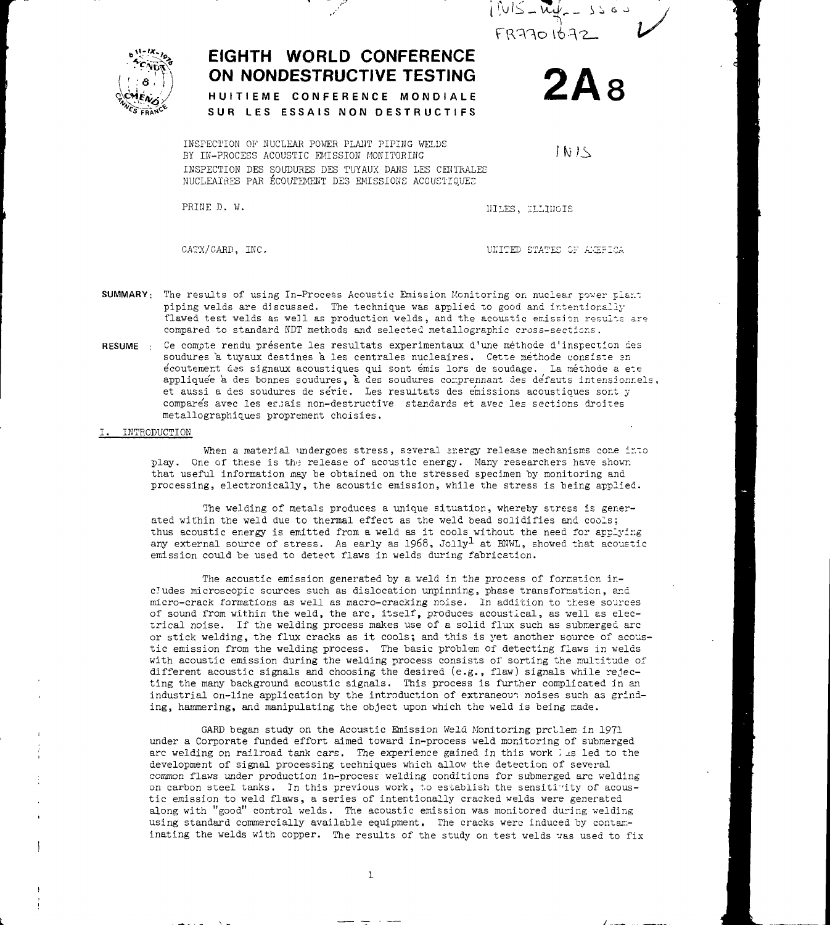

**2Â8**

TN 15



# **EIGHTH WORLD CONFERENCE ON NONDESTRUCTIVE TESTING**

HUITIEME CONFERENCE MONDIALE SUR LES ESSAIS NON DESTRUCTIFS

INSPECTION OF NUCLEAR POWER PLANT PIPING WELDS EY IN-PROCESS ACOUSTIC EMISSION MONITORING INSPECTION DES SOUDURES DES TUYAUX DANS LES CENTRALES NUCLEATRES PAR ÉCOUTEMENT DES EMISSIONS ACOUSTIQUES

PRINE D. W. IIILES, TLLINOIS

GATX/GARD, INC. THE RESERVE OF A SERVICE OF A SERVICE OF A SERVER OF A SERVER OF A SERVER OF A SERVER OF A SERVER OF A SERVER OF A SERVER OF A SERVER OF A SERVER OF A SERVER OF A SERVER OF A SERVER OF A SERVER OF A SERVER

- SUMMARY: The results of using In-Process Acoustic Emission Monitoring on nuclear power plant piping velds are discussed. The technique was applied to good and intentionally flawed test welds as well as production welds, and the acoustic emission results are compared to standard NDT methods and selected metallographic cross-sections.
- RESUME : Ce compte rendu présente les resultats experimentaux d'une méthode d'inspection des soudures a tuyaux destines a les centrales nucleaires. Cette methode consiste en écoutemer.t des signaux acoustiques qui sont émis lors de soudage. La néthode a ete appliquée à des bonnes soudures, à des soudures comprennant des défauts intensionrels, et aussi a des soudures de se'rie. Les resultats des emissions acoustiques sont y compares avec les esjais non-destructive standards et avec les sections droites metallographiques proprement choisies.
- I. INTRODUCTION

When a material undergoes stress, several snergy release mechanisms come into play. One of these is the release of acoustic energy. Many researchers have shown that useful information may be obtained on the stressed specimen by monitoring and processing, electronically, the acoustic emission, while the stress is being applied.

The welding of metals produces a unique situation, whereby stress is generated within the weld due to thermal effect as the weld bead solidifies and cools; thus acoustic energy is emitted from a weld as it cools without the need for applying any external source of stress. As early as  $1968$ , Jolly<sup>1</sup> at BNWL, showed that acoustic emission could be used to detect flaws in welds during fabrication.

The acoustic emission generated by a veld in the process of formation includes microscopic sources such as dislocation unpinning, phase transformation, and micro-crack formations as well as macro-cracking noise. In addition to these sources of sound from within the weld, the arc, itself, produces acoustical, as well as electrical noise. If the welding process makes use of a solid flux such as submerged arc or stick welding, the flux cracks as it cools; and this is yet another source of acoustic emission from the welding process. The basic problem of detecting flaws in welds with acoustic emission during the welding process consists of sorting the multitude of different acoustic signals and choosing the desired (e.g., flaw) signals while rejecting the many background acoustic signals. This process is further complicated in an industrial on-line application by the introduction of extraneous noises such as grinding, hammering, and manipulating the object upon which the weld is being made.

GARD began study on the Acoustic Emission Weld Monitoring prellen in 1971 under a Corporate funded effort aimed toward in-process weld monitoring of submerged arc welding on railroad tank cars. The experience gained in this work is led to the development of signal processing techniques which allow the detection of several common flaws under production in-process: welding conditions for submerged arc welding on carbon steel tanks. In this previous work, to establish the sensitivity of acoustic emission to weld flaws, a series of intentionally cracked welds were generated along with "good" control welds. The acoustic emission was monitored during welding using standard commercially available equipment. The cracks were induced by contaminating the welds with copper. The results of the study on test welds was used to fix

 $\mathbf{1}$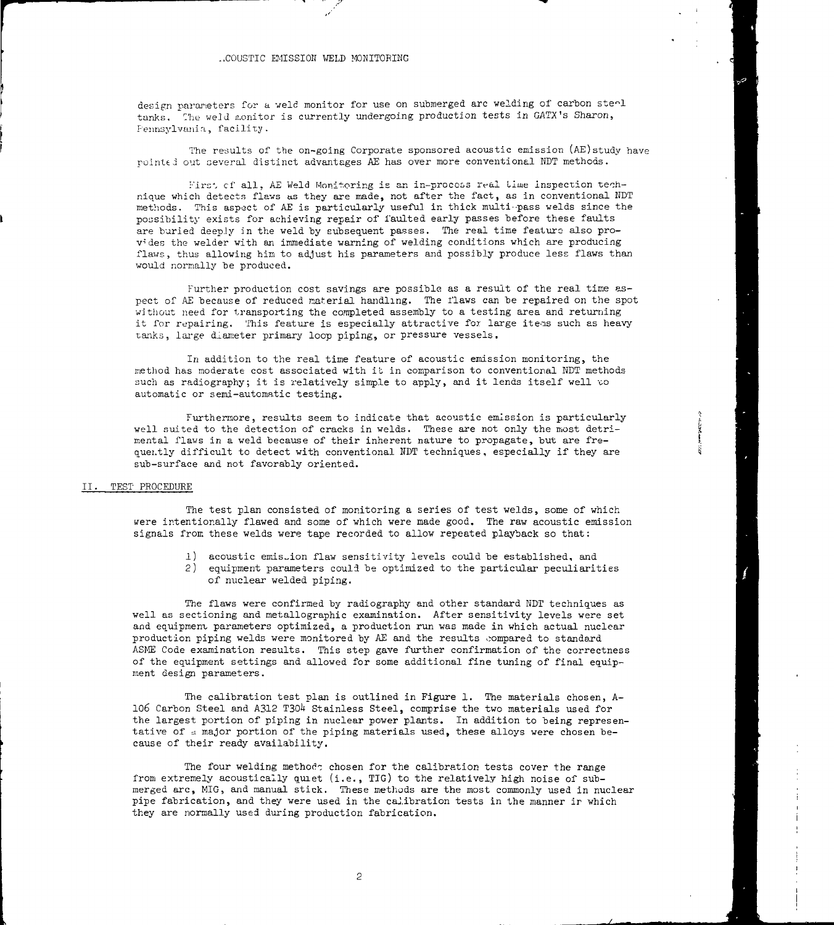design parameters for a weld monitor for use on submerged arc welding of carbon steel tanks. Che weJd monitor is currently undergoing production tests in GATX's Sharon, Pennsylvania, facility.

The results of the on-going Corporate sponsored acoustic emission (AE)study have pointed out several distinct advantages AE has over more conventional NDT methods.

First of all, AE Weld Monitoring is an in-process real time inspection technique which detects flaws as they are made, not after the fact, as in conventional HDT methods. This aspect of AE is particularly useful in thick multi-pass welds since the possibility exists for achieving repair of faulted early passes before these faults are buried deeply in the weld by subsequent passes. The real time feature also provides the welder with an immediate warning of welding conditions which are producing flaws , thus allowing him to adjust his parameters and possibly produce less flaws than would normally be produced.

Further production cost savings are possible as a result of the real time aspect of AE because of reduced material handling. The flaws can be repaired on the spot without need for transporting the completed assembly to a testing area and returning it for repairing. This feature is especially attractive for large items such as heavy tanks, large diameter primary loop piping, or pressure vessels.

In addition to the real time feature of acoustic emission monitoring, the method has moderate cost associated with it in comparison to conventional NDT methods such as radiography; it is relatively simple to apply, and it lends itself well to automatic or semi-automatic testing.

Furthermore, results seem to indicate that acoustic emission is particularly well suited to the detection of cracks in welds. These are not only the most detrimental flaws in a weld because of their inherent nature to propagate, but are frequently difficult to detect with conventional NDT techniques, especially if they are sub-surface and not favorably oriented.

#### II. TEST PROCEDURE

The test plan consisted of monitoring a series of test welds, some of which were intentionally flawed and some of which were made good. The raw acoustic emission signals from these welds were tape recorded to allow repeated playback so that:

- 1) acoustic emistion flaw sensitivity levels could be established, and
- 2) equipment parameters could be optimized to the particular peculiarities of nuclear welded piping.

The flaws were confirmed by radiography and other standard NDT techniques as well as sectioning and metallographic examination. After sensitivity levels were set and equipment parameters optimized, a production run was made in which actual nuclear production piping welds were monitored by AE and the results compared to standard ASMS Code examination results. This step gave further confirmation of the correctness of the equipment settings and allowed for some additional fine tuning of final equipment design parameters.

The calibration test plan is outlined in Figure 1. The materials chosen, A-106 Carbon Steel and A312 T304 Stainless Steel, comprise the two materials used for the largest portion of piping in nuclear power plants. In addition to being representative of a major portion of the piping materials used, these alloys were chosen because of their ready availability.

The four welding methode chosen for the calibration tests cover the range from extremely acoustically quiet (i.e., TIG) to the relatively high noise of submerged arc, MIG, and manual stick. These methods are the most commonly used in nuclear pipe fabrication, and they were used in the calibration tests in the manner ir which they are normally used during production fabrication.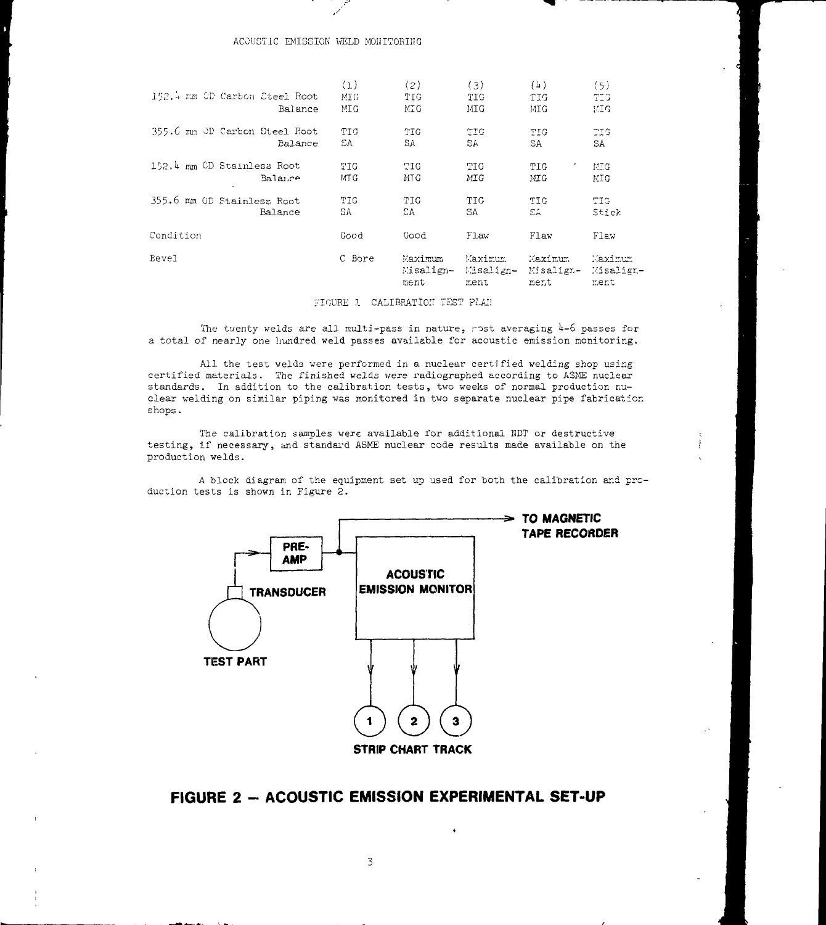# ACOUSTIC EMISSION WELD MONITORING

| Bevel                      |                                          | C Bore            | Maximum<br>Misalign- Misalign-<br>ment | Maximum<br>ment   | Maximum<br>Misalign-<br>ment | Maximum<br>Misalign<br>ment |
|----------------------------|------------------------------------------|-------------------|----------------------------------------|-------------------|------------------------------|-----------------------------|
| Condition                  |                                          | Good              | Good                                   | Flaw              | Flaw                         | Flaw                        |
| 355.6 mm OD Stainless Root | Balance                                  | TIG.<br>SA.       | TIG<br>ΩA                              | TTG.<br>SA        | TIC.<br>СÁ.                  | TIG.<br>Stick               |
| 152.4 mm CD Stainless Root | Balance                                  | TIG.<br>MT G      | TIG.<br>MTG                            | TIG<br>MIG        | TIG<br>MIG                   | -MTG<br>MIG                 |
|                            | 355.6 mm OD Carbon Steel Root<br>Balance | TIG<br>SA         | TIG<br>SΑ                              | TIG.<br>SA.       | TIG<br>SA                    | TIG.<br>SA                  |
|                            | 152.4 mm OD Carbon Steel Root<br>Balance | (1)<br>MIG<br>MIG | (2)<br>TIG<br>MIG                      | (3)<br>TIG<br>MIG | (4)<br>TIG<br>MIG            | (5)<br>TIG<br>MIG           |
|                            |                                          |                   |                                        |                   |                              |                             |

## FIGURE 1 CALIBRATION TEST PLAN

The twenty welds are all multi-pass in nature, nost averaging  $4-6$  passes for a total of nearly one hundred weld passes available for acoustic emission monitoring.

All the test welds were performed in a nuclear certified welding shop using certified materials. The finished welds were radiographed according to ASME nuclear standards. In addition to the calibration tests, two weeks of normal production nuclear welding on similar piping was monitored in two separate nuclear pipe fabrication shops.

The calibration samples were available for additional NDT or destructive testing, if necessary, and standard ASME nuclear code results made available on the production welds.

A block diagram of the equipment set up used for both the calibration and production tests is shown in Figure 2.



# FIGURE 2 - ACOUSTIC EMISSION EXPERIMENTAL SET-UP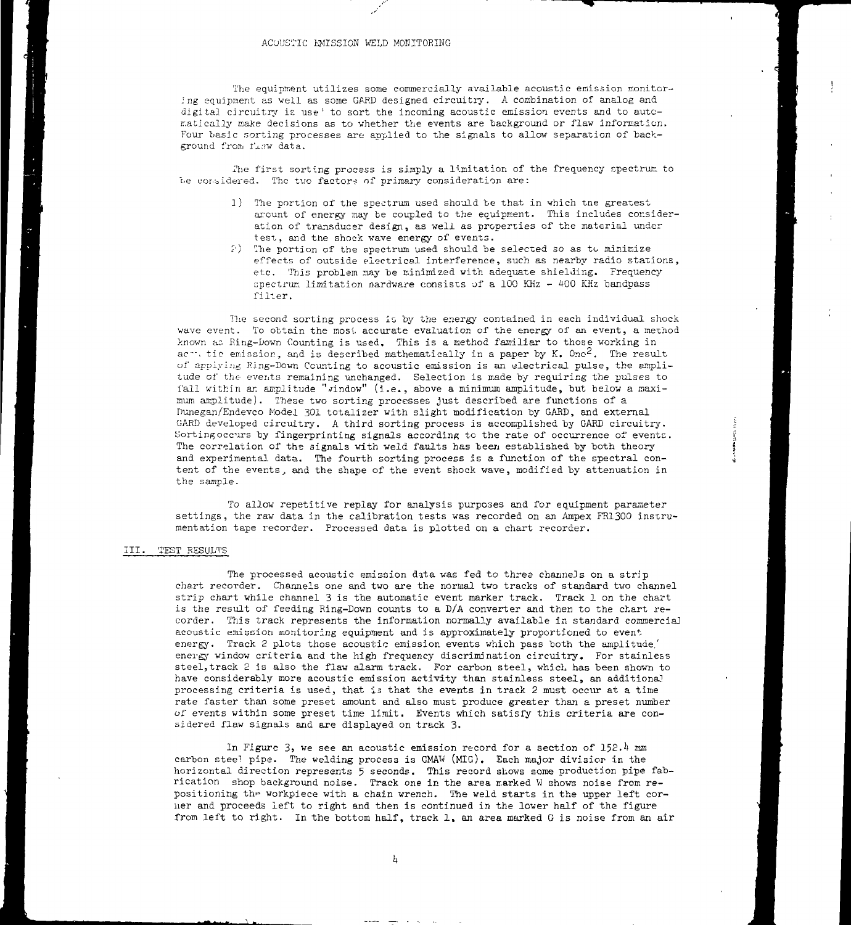#### ACOUSTIC EMISSION WELD MONITORING

The equipment utilizes some commercially available acoustic emission monitoring equipment as veil as some GARD designed circuitry. A combination of analog and digital circuitry is use<sup>1</sup> to sort the incoming acoustic emission events and to automatically make decisions as to whether the events are background or flaw information. Four basic sorting processes are applied to the signals to allow separation of background from fiew data.

i'he first sorting process is simply a limitation of the frequency spectrum to be considered. The two factors of primary consideration are:

- 1) The portion of the spectrum used should be that in which tne greatest arount of energy may be coupled to the equipment. This includes consideration of transducer design, as well as properties of the material under test, and the shock wave energy of events.
- ?) I'he portion of the spectrum used should be selected so as to minimize effects of outside electrical interference, such as nearby radio stations, etc. This problem may be minimized with adequate shielding. Frequency spectrum limitation nardware consists of a 100 KHz - 400 KHz bandpass filter.

The second sorting process is by the energy contained in each individual shock wave event. To obtain the most accurate evaluation of the energy of an event, a method known ac. Ring-Down Counting is used. This is a method familiar to those working in ached the emission, and is described mathematically in a paper by K. Ono<sup>2</sup>. The result of applying Ring-Down Counting to acoustic emission is an electrical pulse, the amplitude of the events remaining unchanged. Selection is made by requiring the pulses to fall within an amplitude " $\sinh$  (i.e., above a minimum amplitude, but below a maximum amplitude). These two sorting processes just described are functions of a nunegan/Endevco Model 301 totalizer with slight modification by GARD, and external GAED developed circuitry. A third sorting process is accomplished by GARD circuitry, Sortingoccurs by fingerprinting signals according to the rate of occurrence of events. The correlation of the signals with weld faults has been established by both theory and experimental data. The fourth sorting process is a function of the spectral content of the events, and the shape of the event shock wave, modified by attenuation in the sample.

To allow repetitive replay for analysis purposes and for equipment parameter settings, the raw data in the calibration tests was recorded on an Ampex FR1300 instrumentation tape recorder. Processed data is plotted on a chart recorder.

#### III. TEST RESULTS

The processed acoustic emission data was fed to three channels on a strip chart recorder. Channels one and two are the normal two tracks of standard two channel strip chart while channel 3 is the automatic event marker track. Track 1 on the chart is the result of feeding Ring-Down counts to a D/A converter and then to the chart recorder. This track represents the information normally available in standard commerciaj acoustic emission monitoring equipment and is approximately proportioned to event, energy. Track 2 plots those acoustic emission events which pass both the amplitude.' energy window criteria and the high frequency discrimination circuitry. For stainless steel, track 2 is also the flaw alarm track. For carbon steel, which has been shown to have considerably more acoustic emission activity than stainless steel, an additional processing criteria is used, that is that the events in track 2 must occur at a time rate faster than some preset amount and also must produce greater than a preset number of events within some preset time limit. Events which satisfy this criteria are considered flaw signals and are displayed on track 3.

In Figure 3, we see an acoustic emission record for a section of  $152.^{\mu}$  mm carbon steel pipe. The welding process is GMAW (MIC). Each major division in the horizontal direction represents 5 seconds. This record shows some production pipe fabrication shop background noise. Track one in the area marked W shows noise from repositioning the workpiece with a chain wrench. The weld starts in the upper left corner and proceeds left to right and then is continued in the lower half of the figure from left to right. In the bottom half, track 1, an area marked G is noise from an air

 $\rm h$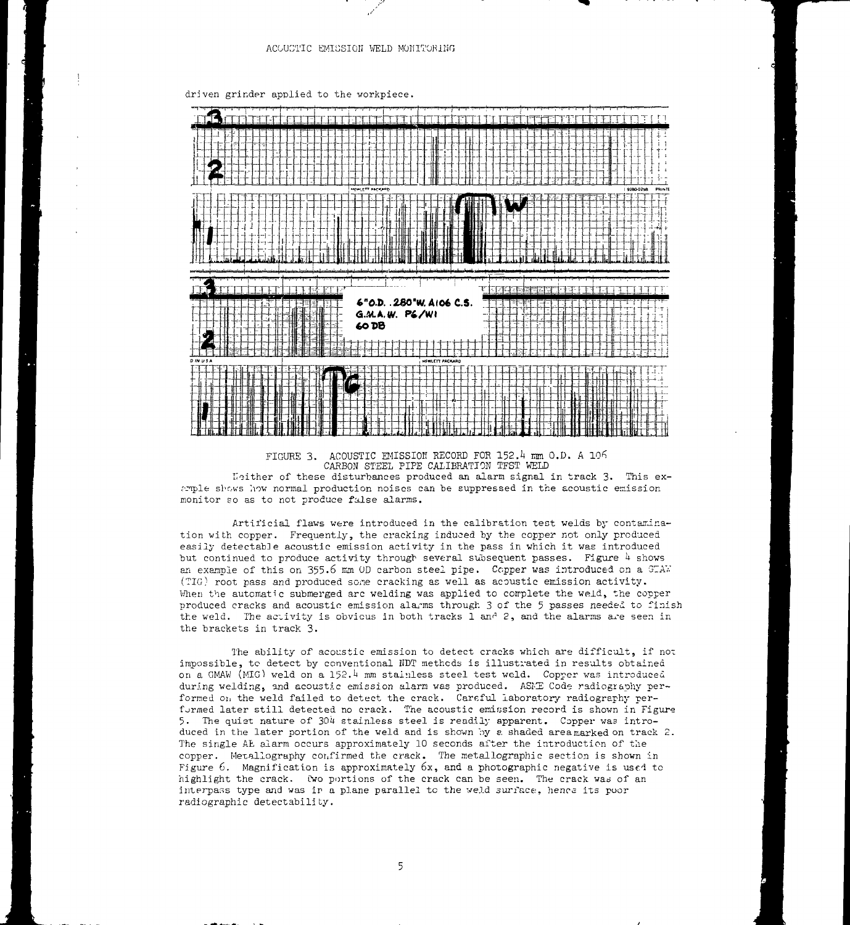#### ACOUSTIC EMISSION WELD MONITORING

driven grinder applied to the vorkpiece.





Neither of these disturbances produced an alarm signal in track 3. This exarple shows how normal production noises can be suppressed in the acoustic emission monitor so as to not produce false alarms.

Artificial flaws were introduced in the calibration test welds by contamination with copper. Frequently, the cracking induced by the copper not only produced easily detectable acoustic emission activity in the pass in which it was introduced but continued to produce activity through several subsequent passes. Figure  $\lambda$  shows an example of this on  $355.6$  mm OD carbon steel pipe. Copper was introduced on a  $G/N$ . (TIG} root pass and produced sone cracking as well as acoustic emission activity. When the automatic submerged arc welding was applied to complete the weld, the copper produced cracks and acoustic emission alarms through 3 of the 5 passes needed to finish the weld. The activity is obvious in both tracks 1 and 2, and the alarms are seen in the brackets in track 3.

The ability of acoustic emission to detect cracks which are difficult, if not impossible, to detect by conventional KDT methods is illustrated in results obtained on a GMAW (MIG) weld on a 152.4 mm stainless steel test weld. Copper was introduced during welding, and acoustic emission alarm was produced. ASNE Code radiography performed on the weld failed to detect the crack. Careful laboratory radiography performed later still detected no crack. The acoustic emission record is shown in Figure 5. The quiet nature of 304 stainless steel is readily apparent. Copper was introduced in the later portion of the weld and is shown by a shaded areamarked on track  $2$ . The single AE alarm occurs approximately 10 seconds after the introduction of the copper. Metallography confirmed the crack. The Metallographie section is shown in Figure  $6$ . Magnification is approximately  $6x$ , and a photographic negative is used to highlight the crack. Wo portions of the crack can be seen. The crack was of an interpass type and was ir a plane parallel to the veld surface, hence its poor radiographic detectability.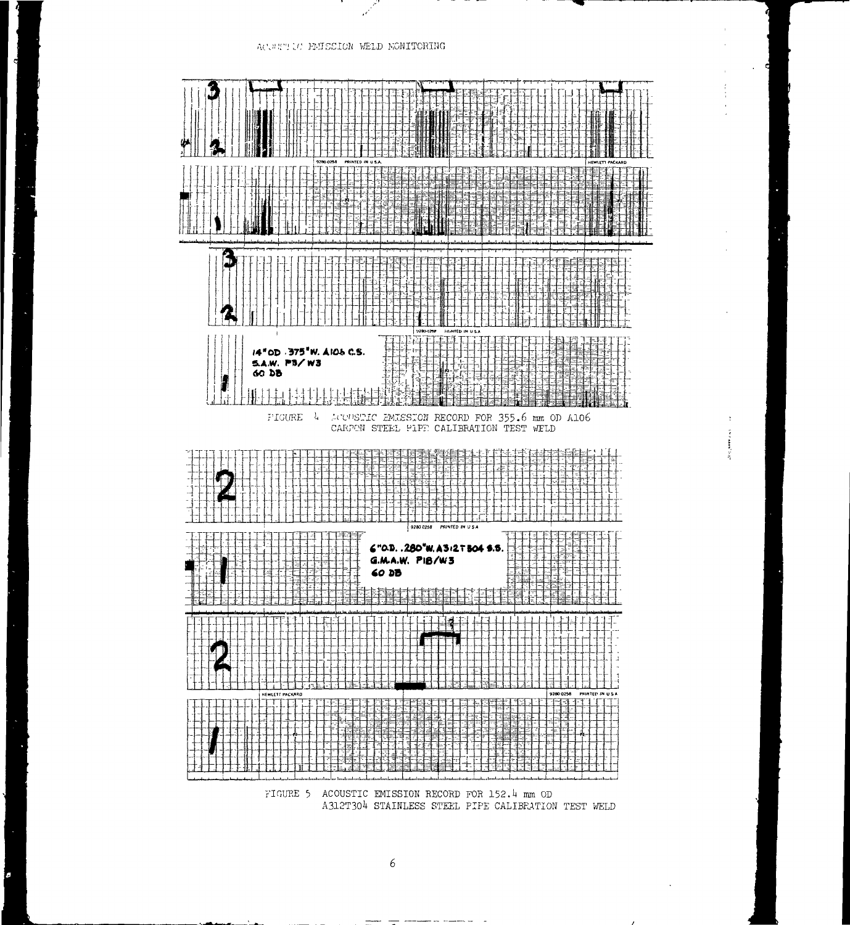

**The Second** 

FIGURE 5 ACOUSTIC EMISSION RECORD FOR 152.4 mm OD A312T304 STAINLESS STEEL PIPE CALIBRATION TEST WELD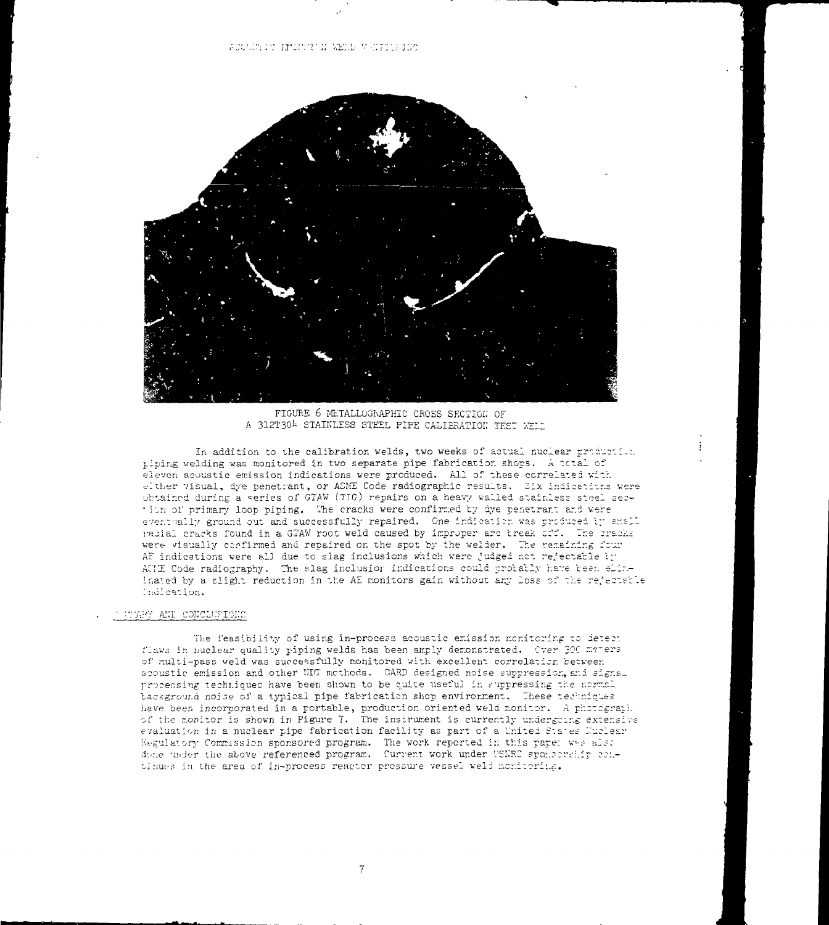

FIGURE 6 METALLOGRAPHIC CROSS SECTION OF A 312T304 STAINLESS STEEL PIPE CALIBRATION TEST WELD

In addition to the calibration welds, two weeks of actual nuclear production tiping welding was monitored in two separate pipe fabrication shops. A total of eleven acoustic emission indications were produced. All of these correlated with either visual, dye penetrant, or ASME Code radiographic results. Six indications were obtained during a series of GTAW (TIG) repairs on a heavy walled stainless steel section of primary loop piping. The cracks were confirmed by dye penetrant and were eventually ground out and successfully repaired. One indication was produced it small radial cracks found in a GTAW root weld caused by improper arc break off. The cracks were visually confirmed and repaired on the spot by the welder. The remaining four AF indications were all due to slag inclusions which were judged not rejectable in AUF Code radiography. The slag inclusior indications could probably have been eliminated by a slight reduction in the AE monitors gain without any loss of the rejectable Indication.

# THERE AND CONCLUSIONS

The feasibility of using in-process acoustic emission monitoring to detect flaws in nuclear quality piping welds has been amply demonstrated. Over 300 maters of multi-pass weld was successfully monitored with excellent correlation between acoustic emission and other NDT methods. GARD designed noise suppression, and signal processing techniques have been shown to be quite useful in suppressing the normal background noise of a typical pipe fabrication shop environment. These techniques have been incorporated in a rortable, production oriented weld monitor. A photograph. of the monitor is shown in Figure 7. The instrument is currently undergoing extensive evaluation in a nuclear pipe fabrication facility as part of a United States Nuclear Regulatory Commission sponsored program. The work reported in this pape: wee also done under the above referenced program. Current work under USERC sponsorship continues in the area of in-process reactor prossure vessel weld monitoring.